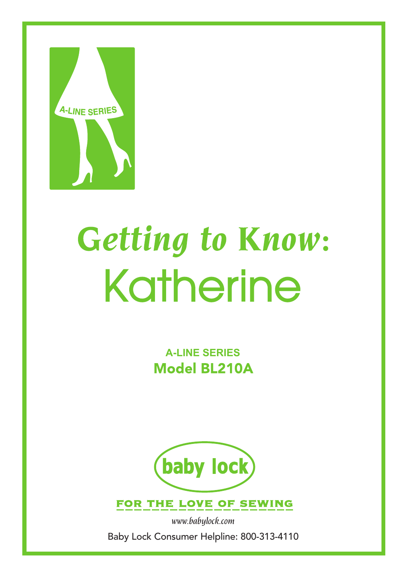

# Getting to Know: Katherine

**A-Line Series Model BL210A** 



FOR THE LOVE OF SEWING

*www.babylock.com*  Baby Lock Consumer Helpline: 800-313-4110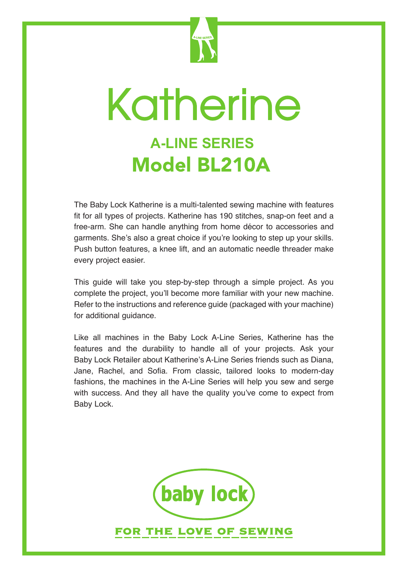

# Katherine **A-Line Series Model BL210A**

The Baby Lock Katherine is a multi-talented sewing machine with features fit for all types of projects. Katherine has 190 stitches, snap-on feet and a free-arm. She can handle anything from home décor to accessories and garments. She's also a great choice if you're looking to step up your skills. Push button features, a knee lift, and an automatic needle threader make every project easier.

This guide will take you step-by-step through a simple project. As you complete the project, you'll become more familiar with your new machine. Refer to the instructions and reference guide (packaged with your machine) for additional guidance.

Like all machines in the Baby Lock A-Line Series, Katherine has the features and the durability to handle all of your projects. Ask your Baby Lock Retailer about Katherine's A-Line Series friends such as Diana, Jane, Rachel, and Sofia. From classic, tailored looks to modern-day fashions, the machines in the A-Line Series will help you sew and serge with success. And they all have the quality you've come to expect from Baby Lock.

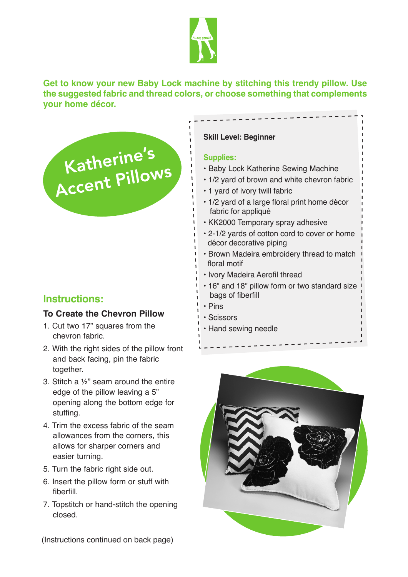

**Get to know your new Baby Lock machine by stitching this trendy pillow. Use the suggested fabric and thread colors, or choose something that complements your home décor.** 

Katherine's<br>Accent Pillows

# **Instructions:**

#### **To Create the Chevron Pillow**

- 1. Cut two 17" squares from the chevron fabric.
- 2. With the right sides of the pillow front and back facing, pin the fabric together.
- 3. Stitch a ½" seam around the entire edge of the pillow leaving a 5" opening along the bottom edge for stuffing.
- 4. Trim the excess fabric of the seam allowances from the corners, this allows for sharper corners and easier turning.
- 5. Turn the fabric right side out.
- 6. Insert the pillow form or stuff with fiberfill.
- 7. Topstitch or hand-stitch the opening closed.

#### **Skill Level: Beginner**

#### **Supplies:**

- Baby Lock Katherine Sewing Machine
- 1/2 yard of brown and white chevron fabric
- 1 yard of ivory twill fabric
- 1/2 yard of a large floral print home décor fabric for appliqué
- KK2000 Temporary spray adhesive
- 2-1/2 yards of cotton cord to cover or home décor decorative piping
- Brown Madeira embroidery thread to match floral motif
- Ivory Madeira Aerofil thread
- 16" and 18" pillow form or two standard size bags of fiberfill
- Pins
- Scissors
- Hand sewing needle



(Instructions continued on back page)